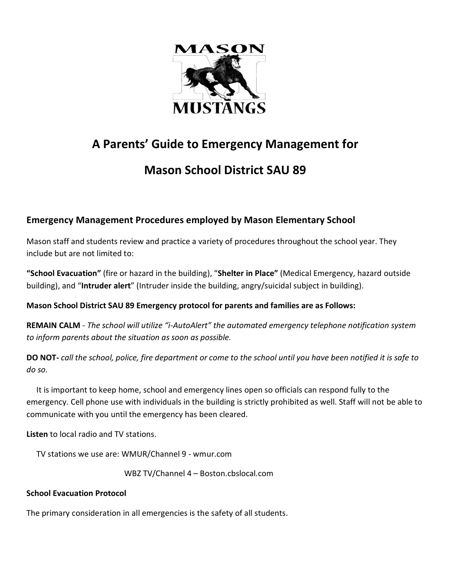

# **A Parents' Guide to Emergency Management for**

# **Mason School District SAU 89**

### **Emergency Management Procedures employed by Mason Elementary School**

Mason staff and students review and practice a variety of procedures throughout the school year. They include but are not limited to:

**"School Evacuation"** (fire or hazard in the building), "**Shelter in Place"** (Medical Emergency, hazard outside building), and "**Intruder alert**" (Intruder inside the building, angry/suicidal subject in building).

### **Mason School District SAU 89 Emergency protocol for parents and families are as Follows:**

**REMAIN CALM** - *The school will utilize "i-AutoAlert" the automated emergency telephone notification system to inform parents about the situation as soon as possible.* 

**DO NOT-** *call the school, police, fire department or come to the school until you have been notified it is safe to do so.* 

 It is important to keep home, school and emergency lines open so officials can respond fully to the emergency. Cell phone use with individuals in the building is strictly prohibited as well. Staff will not be able to communicate with you until the emergency has been cleared.

**Listen** to local radio and TV stations.

TV stations we use are: WMUR/Channel 9 - wmur.com

WBZ TV/Channel 4 – Boston.cbslocal.com

#### **School Evacuation Protocol**

The primary consideration in all emergencies is the safety of all students.